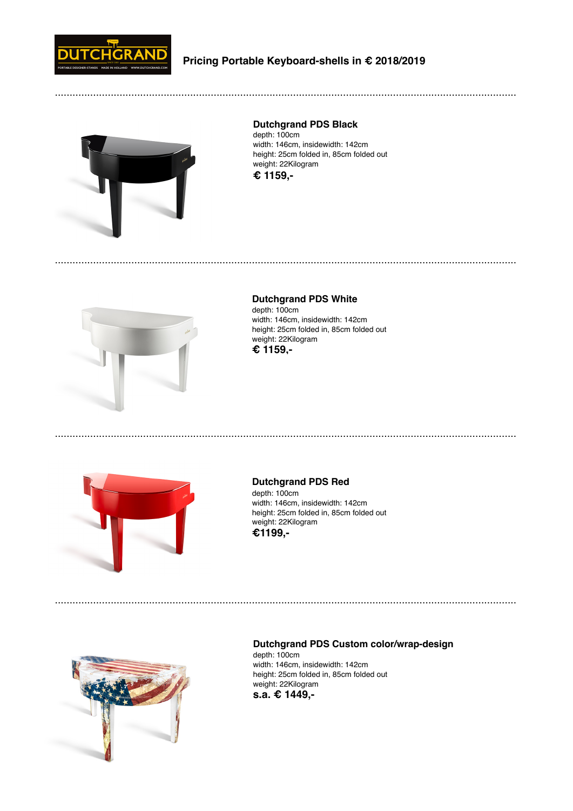

.............................................................................................................................................................



**Dutchgrand PDS Black**

depth: 100cm width: 146cm, insidewidth: 142cm height: 25cm folded in, 85cm folded out weight: 22Kilogram **€ 1159,-**



**Dutchgrand PDS White**  depth: 100cm width: 146cm, insidewidth: 142cm height: 25cm folded in, 85cm folded out weight: 22Kilogram **€ 1159,-**

.............................................................................................................................................................



**Dutchgrand PDS Red** depth: 100cm width: 146cm, insidewidth: 142cm height: 25cm folded in, 85cm folded out weight: 22Kilogram



.............................................................................................................................................................



## **Dutchgrand PDS Custom color/wrap-design** depth: 100cm width: 146cm, insidewidth: 142cm

.............................................................................................................................................................

height: 25cm folded in, 85cm folded out weight: 22Kilogram **s.a. € 1449,-**